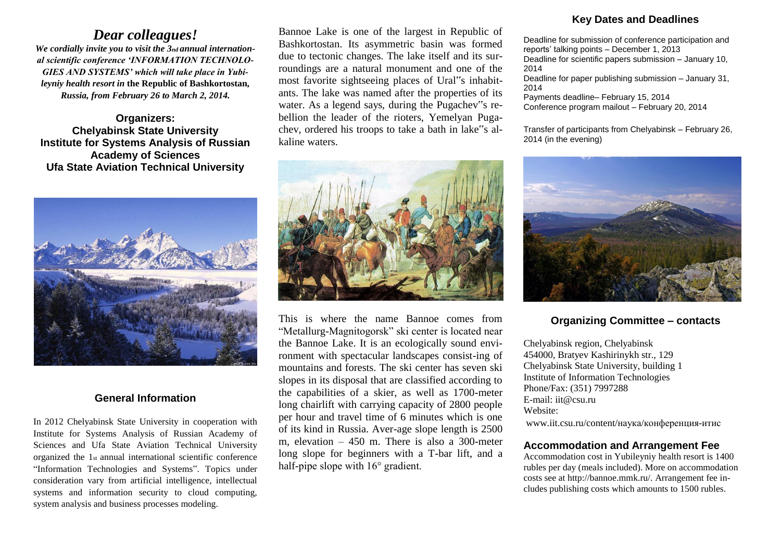# *Dear colleagues!*

*We cordially invite you to visit the 3nd annual international scientific conference 'INFORMATION TECHNOLO-GIES AND SYSTEMS' which will take place in Yubileyniy health resort in* **the Republic of Bashkortostan***, Russia, from February 26 to March 2, 2014.*

**Organizers: Chelyabinsk State University Institute for Systems Analysis of Russian Academy of Sciences Ufa State Aviation Technical University**



#### **General Information**

In 2012 Chelyabinsk State University in cooperation with Institute for Systems Analysis of Russian Academy of Sciences and Ufa State Aviation Technical University organized the 1st annual international scientific conference "Information Technologies and Systems". Topics under consideration vary from artificial intelligence, intellectual systems and information security to cloud computing, system analysis and business processes modeling.

Bannoe Lake is one of the largest in Republic of Bashkortostan. Its asymmetric basin was formed due to tectonic changes. The lake itself and its surroundings are a natural monument and one of the most favorite sightseeing places of Ural"s inhabitants. The lake was named after the properties of its water. As a legend says, during the Pugachev"s rebellion the leader of the rioters, Yemelyan Pugachev, ordered his troops to take a bath in lake"s alkaline waters.



This is where the name Bannoe comes from "Metallurg-Magnitogorsk" ski center is located near the Bannoe Lake. It is an ecologically sound environment with spectacular landscapes consist-ing of mountains and forests. The ski center has seven ski slopes in its disposal that are classified according to the capabilities of a skier, as well as 1700-meter long chairlift with carrying capacity of 2800 people per hour and travel time of 6 minutes which is one of its kind in Russia. Aver-age slope length is 2500 m, elevation – 450 m. There is also a 300-meter long slope for beginners with a T-bar lift, and a half-pipe slope with 16° gradient.

## **Key Dates and Deadlines**

Deadline for submission of conference participation and reports' talking points – December 1, 2013 Deadline for scientific papers submission – January 10, 2014 Deadline for paper publishing submission – January 31, 2014 Payments deadline– February 15, 2014

Conference program mailout – February 20, 2014

Transfer of participants from Chelyabinsk – February 26, 2014 (in the evening)



#### **Organizing Committee – contacts**

Chelyabinsk region, Chelyabinsk 454000, Bratyev Kashirinykh str., 129 Chelyabinsk State University, building 1 Institute of Information Technologies Phone/Fax: (351) 7997288 E-mail: iit@csu.ru Website: www.iit.csu.ru/content/наука/конференция-итис

#### **Accommodation and Arrangement Fee**

Accommodation cost in Yubileyniy health resort is 1400 rubles per day (meals included). More on accommodation costs see at http://bannoe.mmk.ru/. Arrangement fee includes publishing costs which amounts to 1500 rubles.